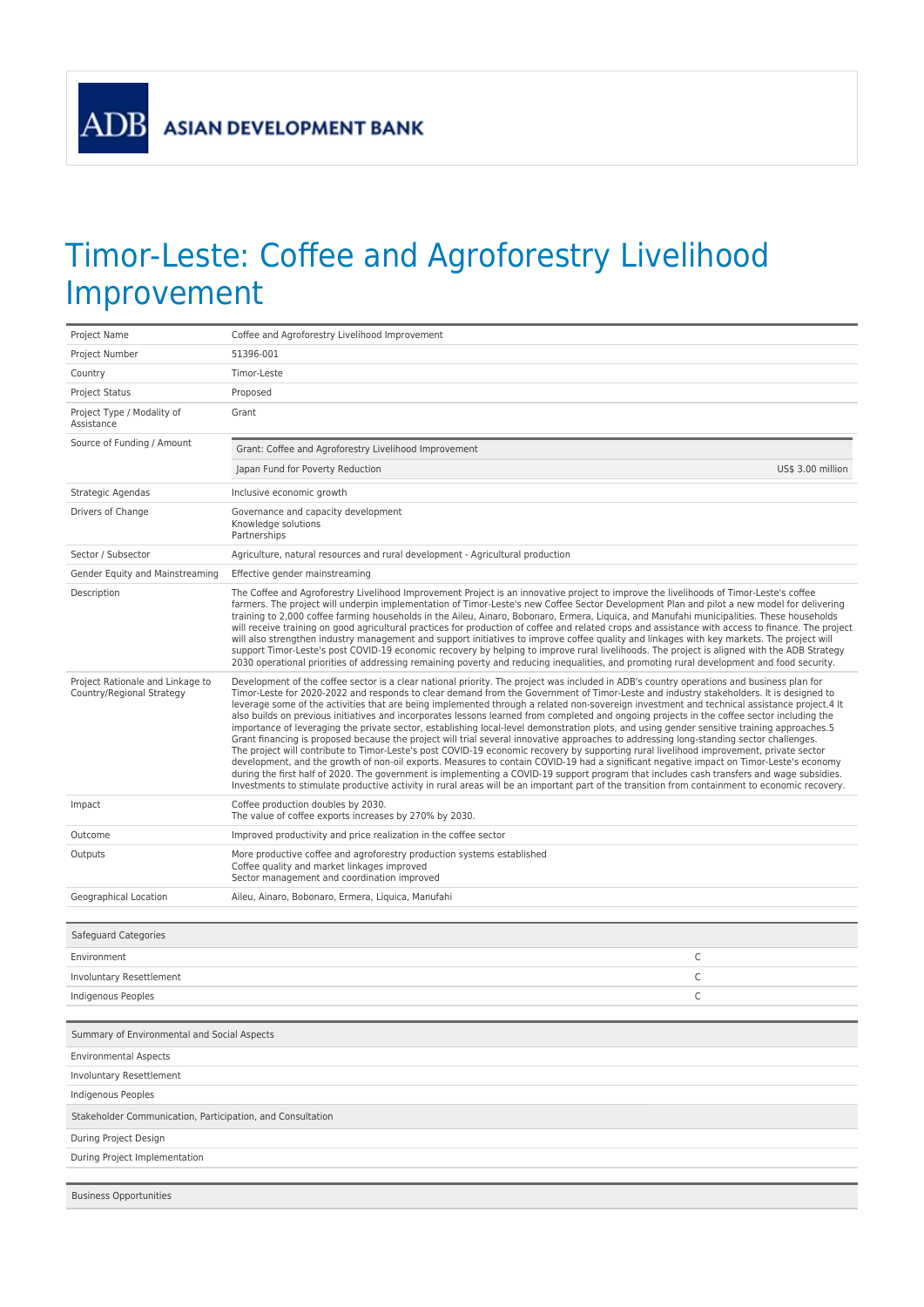**ASIAN DEVELOPMENT BANK** 

**ADB** 

## Timor-Leste: Coffee and Agroforestry Livelihood Improvement

| Project Name                                                  | Coffee and Agroforestry Livelihood Improvement                                                                                                                                                                                                                                                                                                                                                                                                                                                                                                                                                                                                                                                                                                                                                                                                                                                                                                                                                                                                                                                                                                                                                                                                                                                                                                                                                                                                                   |                   |  |
|---------------------------------------------------------------|------------------------------------------------------------------------------------------------------------------------------------------------------------------------------------------------------------------------------------------------------------------------------------------------------------------------------------------------------------------------------------------------------------------------------------------------------------------------------------------------------------------------------------------------------------------------------------------------------------------------------------------------------------------------------------------------------------------------------------------------------------------------------------------------------------------------------------------------------------------------------------------------------------------------------------------------------------------------------------------------------------------------------------------------------------------------------------------------------------------------------------------------------------------------------------------------------------------------------------------------------------------------------------------------------------------------------------------------------------------------------------------------------------------------------------------------------------------|-------------------|--|
| Project Number                                                | 51396-001                                                                                                                                                                                                                                                                                                                                                                                                                                                                                                                                                                                                                                                                                                                                                                                                                                                                                                                                                                                                                                                                                                                                                                                                                                                                                                                                                                                                                                                        |                   |  |
| Country                                                       | Timor-Leste                                                                                                                                                                                                                                                                                                                                                                                                                                                                                                                                                                                                                                                                                                                                                                                                                                                                                                                                                                                                                                                                                                                                                                                                                                                                                                                                                                                                                                                      |                   |  |
| Project Status                                                | Proposed                                                                                                                                                                                                                                                                                                                                                                                                                                                                                                                                                                                                                                                                                                                                                                                                                                                                                                                                                                                                                                                                                                                                                                                                                                                                                                                                                                                                                                                         |                   |  |
| Project Type / Modality of<br>Assistance                      | Grant                                                                                                                                                                                                                                                                                                                                                                                                                                                                                                                                                                                                                                                                                                                                                                                                                                                                                                                                                                                                                                                                                                                                                                                                                                                                                                                                                                                                                                                            |                   |  |
| Source of Funding / Amount                                    | Grant: Coffee and Agroforestry Livelihood Improvement                                                                                                                                                                                                                                                                                                                                                                                                                                                                                                                                                                                                                                                                                                                                                                                                                                                                                                                                                                                                                                                                                                                                                                                                                                                                                                                                                                                                            |                   |  |
|                                                               | Japan Fund for Poverty Reduction                                                                                                                                                                                                                                                                                                                                                                                                                                                                                                                                                                                                                                                                                                                                                                                                                                                                                                                                                                                                                                                                                                                                                                                                                                                                                                                                                                                                                                 | US\$ 3.00 million |  |
| Strategic Agendas                                             | Inclusive economic growth                                                                                                                                                                                                                                                                                                                                                                                                                                                                                                                                                                                                                                                                                                                                                                                                                                                                                                                                                                                                                                                                                                                                                                                                                                                                                                                                                                                                                                        |                   |  |
| Drivers of Change                                             | Governance and capacity development<br>Knowledge solutions<br>Partnerships                                                                                                                                                                                                                                                                                                                                                                                                                                                                                                                                                                                                                                                                                                                                                                                                                                                                                                                                                                                                                                                                                                                                                                                                                                                                                                                                                                                       |                   |  |
| Sector / Subsector                                            | Agriculture, natural resources and rural development - Agricultural production                                                                                                                                                                                                                                                                                                                                                                                                                                                                                                                                                                                                                                                                                                                                                                                                                                                                                                                                                                                                                                                                                                                                                                                                                                                                                                                                                                                   |                   |  |
| Gender Equity and Mainstreaming                               | Effective gender mainstreaming                                                                                                                                                                                                                                                                                                                                                                                                                                                                                                                                                                                                                                                                                                                                                                                                                                                                                                                                                                                                                                                                                                                                                                                                                                                                                                                                                                                                                                   |                   |  |
| Description                                                   | The Coffee and Agroforestry Livelihood Improvement Project is an innovative project to improve the livelihoods of Timor-Leste's coffee<br>farmers. The project will underpin implementation of Timor-Leste's new Coffee Sector Development Plan and pilot a new model for delivering<br>training to 2,000 coffee farming households in the Aileu, Ainaro, Bobonaro, Ermera, Liquica, and Manufahi municipalities. These households<br>will receive training on good agricultural practices for production of coffee and related crops and assistance with access to finance. The project<br>will also strengthen industry management and support initiatives to improve coffee quality and linkages with key markets. The project will<br>support Timor-Leste's post COVID-19 economic recovery by helping to improve rural livelihoods. The project is aligned with the ADB Strategy<br>2030 operational priorities of addressing remaining poverty and reducing inequalities, and promoting rural development and food security.                                                                                                                                                                                                                                                                                                                                                                                                                               |                   |  |
| Project Rationale and Linkage to<br>Country/Regional Strategy | Development of the coffee sector is a clear national priority. The project was included in ADB's country operations and business plan for<br>Timor-Leste for 2020-2022 and responds to clear demand from the Government of Timor-Leste and industry stakeholders. It is designed to<br>leverage some of the activities that are being implemented through a related non-sovereign investment and technical assistance project.4 It<br>also builds on previous initiatives and incorporates lessons learned from completed and ongoing projects in the coffee sector including the<br>importance of leveraging the private sector, establishing local-level demonstration plots, and using gender sensitive training approaches.5<br>Grant financing is proposed because the project will trial several innovative approaches to addressing long-standing sector challenges.<br>The project will contribute to Timor-Leste's post COVID-19 economic recovery by supporting rural livelihood improvement, private sector<br>development, and the growth of non-oil exports. Measures to contain COVID-19 had a significant negative impact on Timor-Leste's economy<br>during the first half of 2020. The government is implementing a COVID-19 support program that includes cash transfers and wage subsidies.<br>Investments to stimulate productive activity in rural areas will be an important part of the transition from containment to economic recovery. |                   |  |
| Impact                                                        | Coffee production doubles by 2030.<br>The value of coffee exports increases by 270% by 2030.                                                                                                                                                                                                                                                                                                                                                                                                                                                                                                                                                                                                                                                                                                                                                                                                                                                                                                                                                                                                                                                                                                                                                                                                                                                                                                                                                                     |                   |  |
| Outcome                                                       | Improved productivity and price realization in the coffee sector                                                                                                                                                                                                                                                                                                                                                                                                                                                                                                                                                                                                                                                                                                                                                                                                                                                                                                                                                                                                                                                                                                                                                                                                                                                                                                                                                                                                 |                   |  |
| Outputs                                                       | More productive coffee and agroforestry production systems established<br>Coffee quality and market linkages improved<br>Sector management and coordination improved                                                                                                                                                                                                                                                                                                                                                                                                                                                                                                                                                                                                                                                                                                                                                                                                                                                                                                                                                                                                                                                                                                                                                                                                                                                                                             |                   |  |
| Geographical Location                                         | Aileu, Ainaro, Bobonaro, Ermera, Liquica, Manufahi                                                                                                                                                                                                                                                                                                                                                                                                                                                                                                                                                                                                                                                                                                                                                                                                                                                                                                                                                                                                                                                                                                                                                                                                                                                                                                                                                                                                               |                   |  |
|                                                               |                                                                                                                                                                                                                                                                                                                                                                                                                                                                                                                                                                                                                                                                                                                                                                                                                                                                                                                                                                                                                                                                                                                                                                                                                                                                                                                                                                                                                                                                  |                   |  |
| Safeguard Categories                                          |                                                                                                                                                                                                                                                                                                                                                                                                                                                                                                                                                                                                                                                                                                                                                                                                                                                                                                                                                                                                                                                                                                                                                                                                                                                                                                                                                                                                                                                                  |                   |  |
| Environment                                                   | C                                                                                                                                                                                                                                                                                                                                                                                                                                                                                                                                                                                                                                                                                                                                                                                                                                                                                                                                                                                                                                                                                                                                                                                                                                                                                                                                                                                                                                                                |                   |  |
| Involuntary Resettlement                                      | C                                                                                                                                                                                                                                                                                                                                                                                                                                                                                                                                                                                                                                                                                                                                                                                                                                                                                                                                                                                                                                                                                                                                                                                                                                                                                                                                                                                                                                                                |                   |  |
| Indigenous Peoples                                            | C                                                                                                                                                                                                                                                                                                                                                                                                                                                                                                                                                                                                                                                                                                                                                                                                                                                                                                                                                                                                                                                                                                                                                                                                                                                                                                                                                                                                                                                                |                   |  |
|                                                               |                                                                                                                                                                                                                                                                                                                                                                                                                                                                                                                                                                                                                                                                                                                                                                                                                                                                                                                                                                                                                                                                                                                                                                                                                                                                                                                                                                                                                                                                  |                   |  |
| Summary of Environmental and Social Aspects                   |                                                                                                                                                                                                                                                                                                                                                                                                                                                                                                                                                                                                                                                                                                                                                                                                                                                                                                                                                                                                                                                                                                                                                                                                                                                                                                                                                                                                                                                                  |                   |  |
| <b>Environmental Aspects</b>                                  |                                                                                                                                                                                                                                                                                                                                                                                                                                                                                                                                                                                                                                                                                                                                                                                                                                                                                                                                                                                                                                                                                                                                                                                                                                                                                                                                                                                                                                                                  |                   |  |
| Involuntary Resettlement                                      |                                                                                                                                                                                                                                                                                                                                                                                                                                                                                                                                                                                                                                                                                                                                                                                                                                                                                                                                                                                                                                                                                                                                                                                                                                                                                                                                                                                                                                                                  |                   |  |
| Indigenous Peoples                                            |                                                                                                                                                                                                                                                                                                                                                                                                                                                                                                                                                                                                                                                                                                                                                                                                                                                                                                                                                                                                                                                                                                                                                                                                                                                                                                                                                                                                                                                                  |                   |  |
| Stakeholder Communication, Participation, and Consultation    |                                                                                                                                                                                                                                                                                                                                                                                                                                                                                                                                                                                                                                                                                                                                                                                                                                                                                                                                                                                                                                                                                                                                                                                                                                                                                                                                                                                                                                                                  |                   |  |
| During Project Design                                         |                                                                                                                                                                                                                                                                                                                                                                                                                                                                                                                                                                                                                                                                                                                                                                                                                                                                                                                                                                                                                                                                                                                                                                                                                                                                                                                                                                                                                                                                  |                   |  |
| During Project Implementation                                 |                                                                                                                                                                                                                                                                                                                                                                                                                                                                                                                                                                                                                                                                                                                                                                                                                                                                                                                                                                                                                                                                                                                                                                                                                                                                                                                                                                                                                                                                  |                   |  |
|                                                               |                                                                                                                                                                                                                                                                                                                                                                                                                                                                                                                                                                                                                                                                                                                                                                                                                                                                                                                                                                                                                                                                                                                                                                                                                                                                                                                                                                                                                                                                  |                   |  |
| <b>Business Opportunities</b>                                 |                                                                                                                                                                                                                                                                                                                                                                                                                                                                                                                                                                                                                                                                                                                                                                                                                                                                                                                                                                                                                                                                                                                                                                                                                                                                                                                                                                                                                                                                  |                   |  |